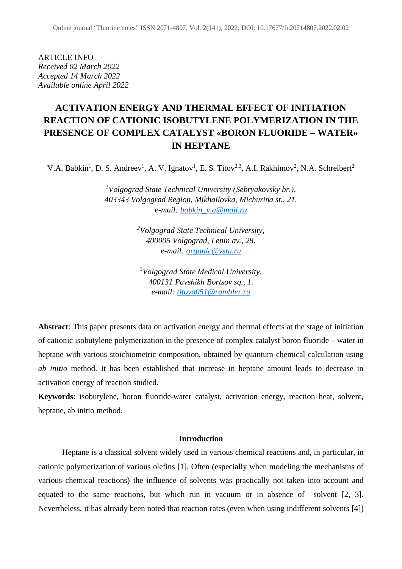ARTICLE INFO *Received 02 March 2022 Accepted 14 March 2022 Available online April 2022*

# **ACTIVATION ENERGY AND THERMAL EFFECT OF INITIATION REACTION OF CATIONIC ISOBUTYLENE POLYMERIZATION IN THE PRESENCE OF COMPLEX CATALYST «BORON FLUORIDE – WATER» IN HEPTANE**

V.A. Babkin<sup>1</sup>, D. S. Andreev<sup>1</sup>, A. V. Ignatov<sup>1</sup>, E. S. Titov<sup>2,3</sup>, A.I. Rakhimov<sup>2</sup>, N.A. Schreibert<sup>2</sup>

*<sup>1</sup>Volgograd State Technical University (Sebryakovsky br.), 403343 Volgograd Region, Mikhailovka, Michurina st., 21. e-mail: babkin\_v.a@mail.ru*

> *<sup>2</sup>Volgograd State Technical University, 400005 Volgograd, Lenin av., 28. e-mail: organic@vstu.ru*

*<sup>3</sup>Volgograd State Medical University, 400131 Pavshikh Bortsov sq., 1. e-mail: titova051@rambler.ru*

**Abstract**: This paper presents data on activation energy and thermal effects at the stage of initiation of cationic isobutylene polymerization in the presence of complex catalyst boron fluoride – water in heptane with various stoichiometric composition, obtained by quantum chemical calculation using *ab initio* method. It has been established that increase in heptane amount leads to decrease in activation energy of reaction studied.

**Keywords**: isobutylene, boron fluoride-water catalyst, activation energy, reaction heat, solvent, heptane, ab initio method.

## **Introduction**

Heptane is a classical solvent widely used in various chemical reactions and, in particular, in cationic polymerization of various olefins [1]. Often (especially when modeling the mechanisms of various chemical reactions) the influence of solvents was practically not taken into account and equated to the same reactions, but which run in vacuum or in absence of solvent [2**,** 3]. Nevertheless, it has already been noted that reaction rates (even when using indifferent solvents [4])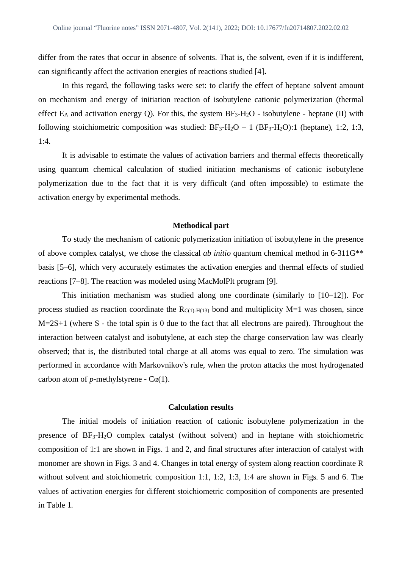differ from the rates that occur in absence of solvents. That is, the solvent, even if it is indifferent, can significantly affect the activation energies of reactions studied [4]**.**

In this regard, the following tasks were set: to clarify the effect of heptane solvent amount on mechanism and energy of initiation reaction of isobutylene cationic polymerization (thermal effect  $E_A$  and activation energy Q). For this, the system  $BF_3-H_2O$  - isobutylene - heptane (II) with following stoichiometric composition was studied:  $BF_3-H_2O - 1$  ( $BF_3-H_2O$ ):1 (heptane), 1:2, 1:3, 1:4.

It is advisable to estimate the values of activation barriers and thermal effects theoretically using quantum chemical calculation of studied initiation mechanisms of cationic isobutylene polymerization due to the fact that it is very difficult (and often impossible) to estimate the activation energy by experimental methods.

## **Methodical part**

To study the mechanism of cationic polymerization initiation of isobutylene in the presence of above complex catalyst, we chose the classical *ab initio* quantum chemical method in 6-311G\*\* basis [5–6], which very accurately estimates the activation energies and thermal effects of studied reactions [7–8]. The reaction was modeled using MacMolPlt program [9].

This initiation mechanism was studied along one coordinate (similarly to [10**–**12]). For process studied as reaction coordinate the  $R_{C(1)-H(13)}$  bond and multiplicity M=1 was chosen, since M=2S+1 (where S - the total spin is 0 due to the fact that all electrons are paired). Throughout the interaction between catalyst and isobutylene, at each step the charge conservation law was clearly observed; that is, the distributed total charge at all atoms was equal to zero. The simulation was performed in accordance with Markovnikov's rule, when the proton attacks the most hydrogenated carbon atom of *p*-methylstyrene -  $Ca(1)$ .

### **Calculation results**

The initial models of initiation reaction of cationic isobutylene polymerization in the presence of BF3-H2O complex catalyst (without solvent) and in heptane with stoichiometric composition of 1:1 are shown in Figs. 1 and 2, and final structures after interaction of catalyst with monomer are shown in Figs. 3 and 4. Changes in total energy of system along reaction coordinate R without solvent and stoichiometric composition 1:1, 1:2, 1:3, 1:4 are shown in Figs. 5 and 6. The values of activation energies for different stoichiometric composition of components are presented in Table 1.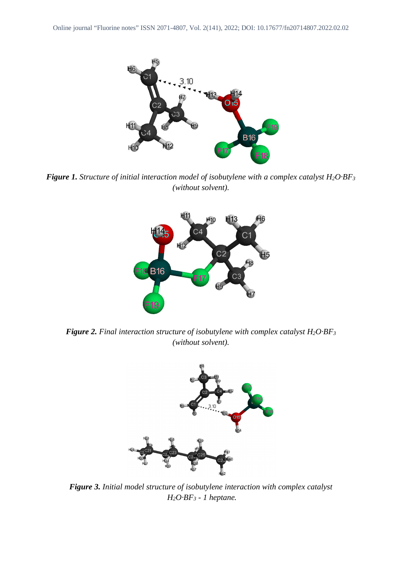

*Figure 1. Structure of initial interaction model of isobutylene with a complex catalyst H<sub>2</sub>O·BF<sub>3</sub> (without solvent).*



*Figure 2. Final interaction structure of isobutylene with complex catalyst H<sub>2</sub>O·BF<sub>3</sub> (without solvent).*



*Figure 3. Initial model structure of isobutylene interaction with complex catalyst H2O·BF3 - 1 heptane.*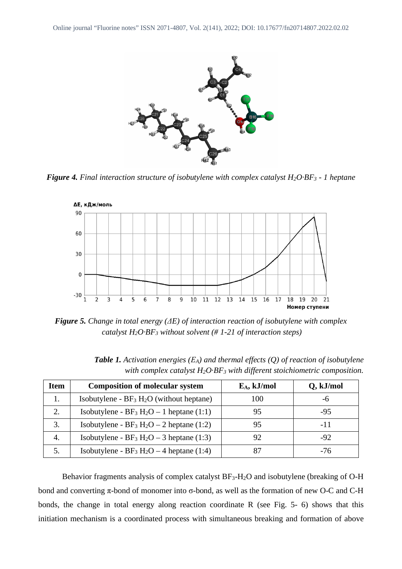

*Figure 4. Final interaction structure of isobutylene with complex catalyst H2O·BF3 - 1 heptane*



*Figure 5. Change in total energy (ΔE) of interaction reaction of isobutylene with complex catalyst H2O·BF3 without solvent (# 1-21 of interaction steps)*

| <b>Item</b> | <b>Composition of molecular system</b>                           | $E_A$ , kJ/mol | Q, kJ/mol |
|-------------|------------------------------------------------------------------|----------------|-----------|
| 1.          | Isobutylene - $BF_3 H_2O$ (without heptane)                      | 100            | -ი        |
| 2.          | Isobutylene - $BF_3 H_2O - 1$ heptane (1:1)                      | 95             | $-95$     |
| 3.          | Isobutylene - $BF_3 H_2O - 2$ heptane (1:2)                      | 95             | $-11$     |
| 4.          | Isobutylene - $BF_3 H_2O - 3$ heptane (1:3)                      | 92             | $-92$     |
|             | Isobutylene - BF <sub>3</sub> H <sub>2</sub> O – 4 heptane (1:4) | 87             | -76       |

*Table 1. Activation energies (ЕA) and thermal effects (Q) of reaction of isobutylene with complex catalyst H2O·BF3 with different stoichiometric composition.*

Behavior fragments analysis of complex catalyst  $BF_3-H_2O$  and isobutylene (breaking of O-H bond and converting π-bond of monomer into σ-bond, as well as the formation of new O-C and C-H bonds, the change in total energy along reaction coordinate R (see Fig. 5- 6) shows that this initiation mechanism is a coordinated process with simultaneous breaking and formation of above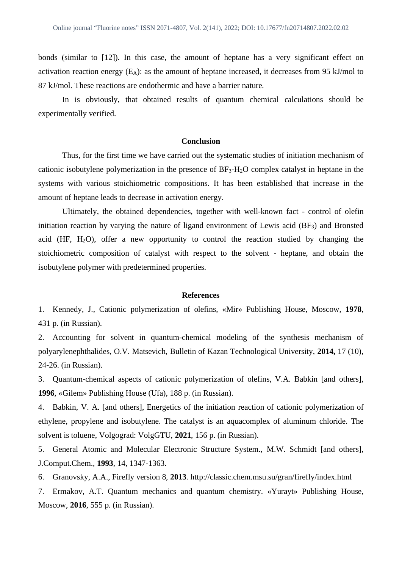bonds (similar to [12]). In this case, the amount of heptane has a very significant effect on activation reaction energy  $(E_A)$ : as the amount of heptane increased, it decreases from 95 kJ/mol to 87 kJ/mol. These reactions are endothermic and have a barrier nature.

In is obviously, that obtained results of quantum chemical calculations should be experimentally verified.

## **Conclusion**

Thus, for the first time we have carried out the systematic studies of initiation mechanism of cationic isobutylene polymerization in the presence of BF3-H2O complex catalyst in heptane in the systems with various stoichiometric compositions. It has been established that increase in the amount of heptane leads to decrease in activation energy.

Ultimately, the obtained dependencies, together with well-known fact - control of olefin initiation reaction by varying the nature of ligand environment of Lewis acid (BF<sub>3</sub>) and Bronsted acid (HF,  $H_2O$ ), offer a new opportunity to control the reaction studied by changing the stoichiometric composition of catalyst with respect to the solvent - heptane, and obtain the isobutylene polymer with predetermined properties.

#### **References**

1. Kennedy, J., Cationic polymerization of olefins, «Mir» Publishing House, Moscow, **1978**, 431 p. (in Russian).

2. Accounting for solvent in quantum-chemical modeling of the synthesis mechanism of polyarylenephthalides, O.V. Matsevich, Bulletin of Kazan Technological University, **2014,** 17 (10), 24-26. (in Russian).

3. Quantum-chemical aspects of cationic polymerization of olefins, V.A. Babkin [and others], **1996**, «Gilem» Publishing House (Ufa), 188 p. (in Russian).

4. Babkin, V. A. [and others], Energetics of the initiation reaction of cationic polymerization of ethylene, propylene and isobutylene. The catalyst is an aquacomplex of aluminum chloride. The solvent is toluene, Volgograd: VolgGTU, **2021**, 156 p. (in Russian).

5. General Atomic and Molecular Electronic Structure System., M.W. Schmidt [and others], J.Comput.Chem., **1993**, 14, 1347-1363.

6. Granovsky, A.A., Firefly version 8, **2013**. http://classic.chem.msu.su/gran/firefly/index.html

7. Ermakov, A.T. Quantum mechanics and quantum chemistry. «Yurayt» Publishing House, Moscow, **2016**, 555 p. (in Russian).